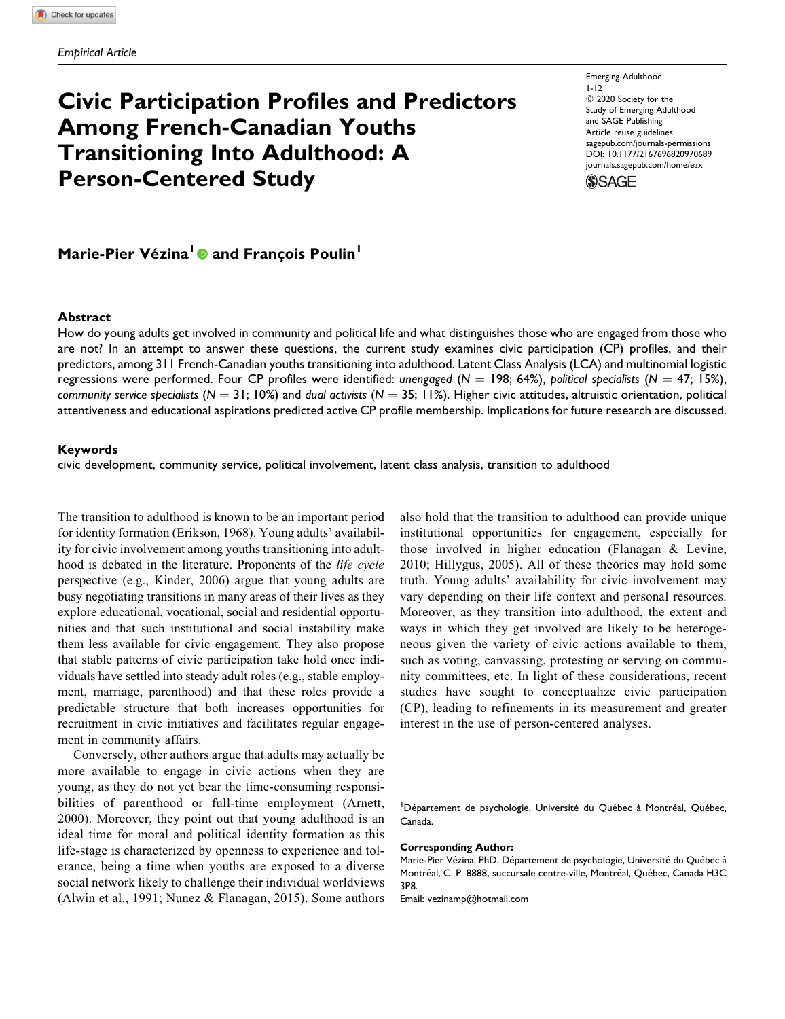# **Civic Participation Profiles and Predictors Among French-Canadian Youths Transitioning Into Adulthood: A Person-Centered Study**

Emerging Adulthood 1-12  $@$  2020 Society for the Study of Emerging Adulthood and SAGE Publishing Article reuse guidelines: [sagepub.com/journals-permissions](https://sagepub.com/journals-permissions) [DOI: 10.1177/2167696820970689](https://doi.org/10.1177/2167696820970689) [journals.sagepub.com/home/eax](http://journals.sagepub.com/home/eax)



# **Marie-Pier Vézina<sup>1</sup> and François Poulin<sup>1</sup>**

#### **Abstract**

How do young adults get involved in community and political life and what distinguishes those who are engaged from those who are not? In an attempt to answer these questions, the current study examines civic participation (CP) profiles, and their predictors, among 311 French-Canadian youths transitioning into adulthood. Latent Class Analysis (LCA) and multinomial logistic regressions were performed. Four CP profiles were identified: *unengaged* ( $N = 198$ ; 64%), *political specialists* ( $N = 47$ ; 15%), *community service specialists* ( $N = 31$ ; 10%) and *dual activists* ( $N = 35$ ; 11%). Higher civic attitudes, altruistic orientation, political attentiveness and educational aspirations predicted active CP profile membership. Implications for future research are discussed.

#### **Keywords**

civic development, community service, political involvement, latent class analysis, transition to adulthood

The transition to adulthood is known to be an important period for identity formation (Erikson, 1968). Young adults' availability for civic involvement among youths transitioning into adulthood is debated in the literature. Proponents of the life cycle perspective (e.g., Kinder, 2006) argue that young adults are busy negotiating transitions in many areas of their lives as they explore educational, vocational, social and residential opportunities and that such institutional and social instability make them less available for civic engagement. They also propose that stable patterns of civic participation take hold once individuals have settled into steady adult roles (e.g., stable employment, marriage, parenthood) and that these roles provide a predictable structure that both increases opportunities for recruitment in civic initiatives and facilitates regular engagement in community affairs.

Conversely, other authors argue that adults may actually be more available to engage in civic actions when they are young, as they do not yet bear the time-consuming responsibilities of parenthood or full-time employment (Arnett, 2000). Moreover, they point out that young adulthood is an ideal time for moral and political identity formation as this life-stage is characterized by openness to experience and tolerance, being a time when youths are exposed to a diverse social network likely to challenge their individual worldviews (Alwin et al., 1991; Nunez & Flanagan, 2015). Some authors

also hold that the transition to adulthood can provide unique institutional opportunities for engagement, especially for those involved in higher education (Flanagan & Levine, 2010; Hillygus, 2005). All of these theories may hold some truth. Young adults' availability for civic involvement may vary depending on their life context and personal resources. Moreover, as they transition into adulthood, the extent and ways in which they get involved are likely to be heterogeneous given the variety of civic actions available to them, such as voting, canvassing, protesting or serving on community committees, etc. In light of these considerations, recent studies have sought to conceptualize civic participation (CP), leading to refinements in its measurement and greater interest in the use of person-centered analyses.

#### **Corresponding Author:**

Email: [vezinamp@hotmail.com](mailto:vezinamp@hotmail.com)

<sup>&</sup>lt;sup>1</sup>Département de psychologie, Université du Québec à Montréal, Québec, Canada.

Marie-Pier Vézina, PhD, Département de psychologie, Université du Québec à Montréal, C. P. 8888, succursale centre-ville, Montréal, Québec, Canada H3C 3P8.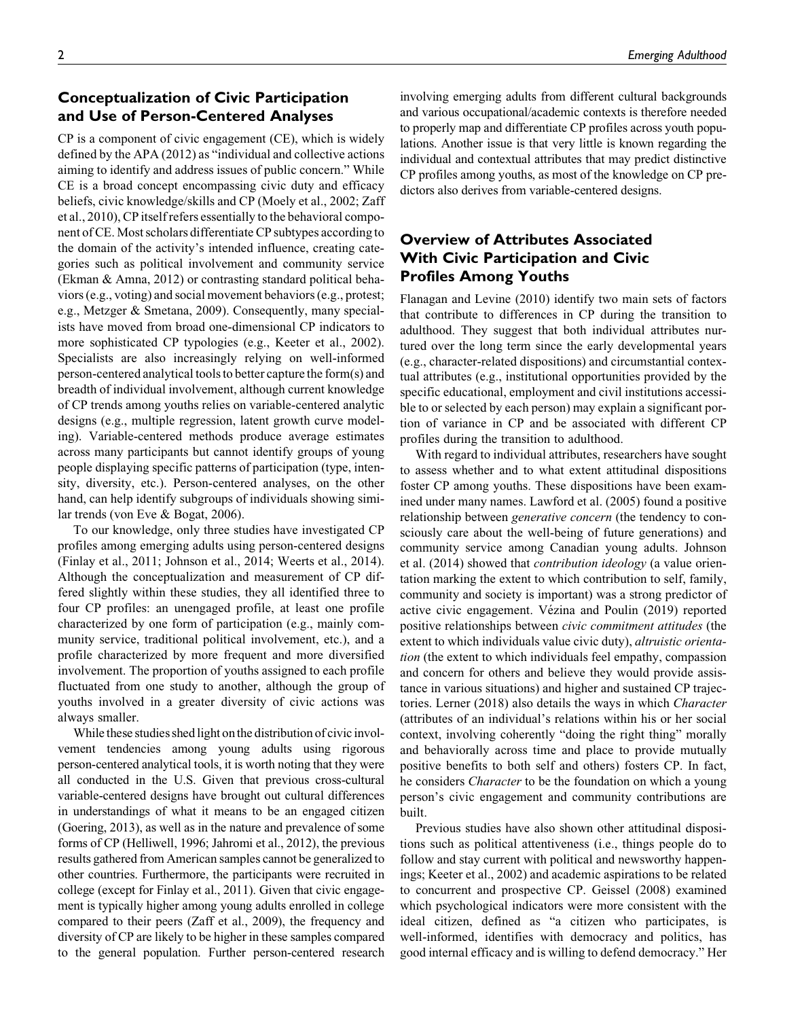# **Conceptualization of Civic Participation and Use of Person-Centered Analyses**

CP is a component of civic engagement (CE), which is widely defined by the APA (2012) as "individual and collective actions aiming to identify and address issues of public concern." While CE is a broad concept encompassing civic duty and efficacy beliefs, civic knowledge/skills and CP (Moely et al., 2002; Zaff et al., 2010), CP itself refers essentially to the behavioral component of CE. Most scholars differentiate CP subtypes according to the domain of the activity's intended influence, creating categories such as political involvement and community service (Ekman & Amna, 2012) or contrasting standard political behaviors (e.g., voting) and social movement behaviors (e.g., protest; e.g., Metzger & Smetana, 2009). Consequently, many specialists have moved from broad one-dimensional CP indicators to more sophisticated CP typologies (e.g., Keeter et al., 2002). Specialists are also increasingly relying on well-informed person-centered analytical tools to better capture the form(s) and breadth of individual involvement, although current knowledge of CP trends among youths relies on variable-centered analytic designs (e.g., multiple regression, latent growth curve modeling). Variable-centered methods produce average estimates across many participants but cannot identify groups of young people displaying specific patterns of participation (type, intensity, diversity, etc.). Person-centered analyses, on the other hand, can help identify subgroups of individuals showing similar trends (von Eve & Bogat, 2006).

To our knowledge, only three studies have investigated CP profiles among emerging adults using person-centered designs (Finlay et al., 2011; Johnson et al., 2014; Weerts et al., 2014). Although the conceptualization and measurement of CP differed slightly within these studies, they all identified three to four CP profiles: an unengaged profile, at least one profile characterized by one form of participation (e.g., mainly community service, traditional political involvement, etc.), and a profile characterized by more frequent and more diversified involvement. The proportion of youths assigned to each profile fluctuated from one study to another, although the group of youths involved in a greater diversity of civic actions was always smaller.

While these studies shed light on the distribution of civic involvement tendencies among young adults using rigorous person-centered analytical tools, it is worth noting that they were all conducted in the U.S. Given that previous cross-cultural variable-centered designs have brought out cultural differences in understandings of what it means to be an engaged citizen (Goering, 2013), as well as in the nature and prevalence of some forms of CP (Helliwell, 1996; Jahromi et al., 2012), the previous results gathered from American samples cannot be generalized to other countries. Furthermore, the participants were recruited in college (except for Finlay et al., 2011). Given that civic engagement is typically higher among young adults enrolled in college compared to their peers (Zaff et al., 2009), the frequency and diversity of CP are likely to be higher in these samples compared to the general population. Further person-centered research

involving emerging adults from different cultural backgrounds and various occupational/academic contexts is therefore needed to properly map and differentiate CP profiles across youth populations. Another issue is that very little is known regarding the individual and contextual attributes that may predict distinctive CP profiles among youths, as most of the knowledge on CP predictors also derives from variable-centered designs.

# **Overview of Attributes Associated With Civic Participation and Civic Profiles Among Youths**

Flanagan and Levine (2010) identify two main sets of factors that contribute to differences in CP during the transition to adulthood. They suggest that both individual attributes nurtured over the long term since the early developmental years (e.g., character-related dispositions) and circumstantial contextual attributes (e.g., institutional opportunities provided by the specific educational, employment and civil institutions accessible to or selected by each person) may explain a significant portion of variance in CP and be associated with different CP profiles during the transition to adulthood.

With regard to individual attributes, researchers have sought to assess whether and to what extent attitudinal dispositions foster CP among youths. These dispositions have been examined under many names. Lawford et al. (2005) found a positive relationship between generative concern (the tendency to consciously care about the well-being of future generations) and community service among Canadian young adults. Johnson et al. (2014) showed that contribution ideology (a value orientation marking the extent to which contribution to self, family, community and society is important) was a strong predictor of active civic engagement. Vézina and Poulin (2019) reported positive relationships between civic commitment attitudes (the extent to which individuals value civic duty), *altruistic orienta*tion (the extent to which individuals feel empathy, compassion and concern for others and believe they would provide assistance in various situations) and higher and sustained CP trajectories. Lerner (2018) also details the ways in which Character (attributes of an individual's relations within his or her social context, involving coherently "doing the right thing" morally and behaviorally across time and place to provide mutually positive benefits to both self and others) fosters CP. In fact, he considers *Character* to be the foundation on which a young person's civic engagement and community contributions are built.

Previous studies have also shown other attitudinal dispositions such as political attentiveness (i.e., things people do to follow and stay current with political and newsworthy happenings; Keeter et al., 2002) and academic aspirations to be related to concurrent and prospective CP. Geissel (2008) examined which psychological indicators were more consistent with the ideal citizen, defined as "a citizen who participates, is well-informed, identifies with democracy and politics, has good internal efficacy and is willing to defend democracy." Her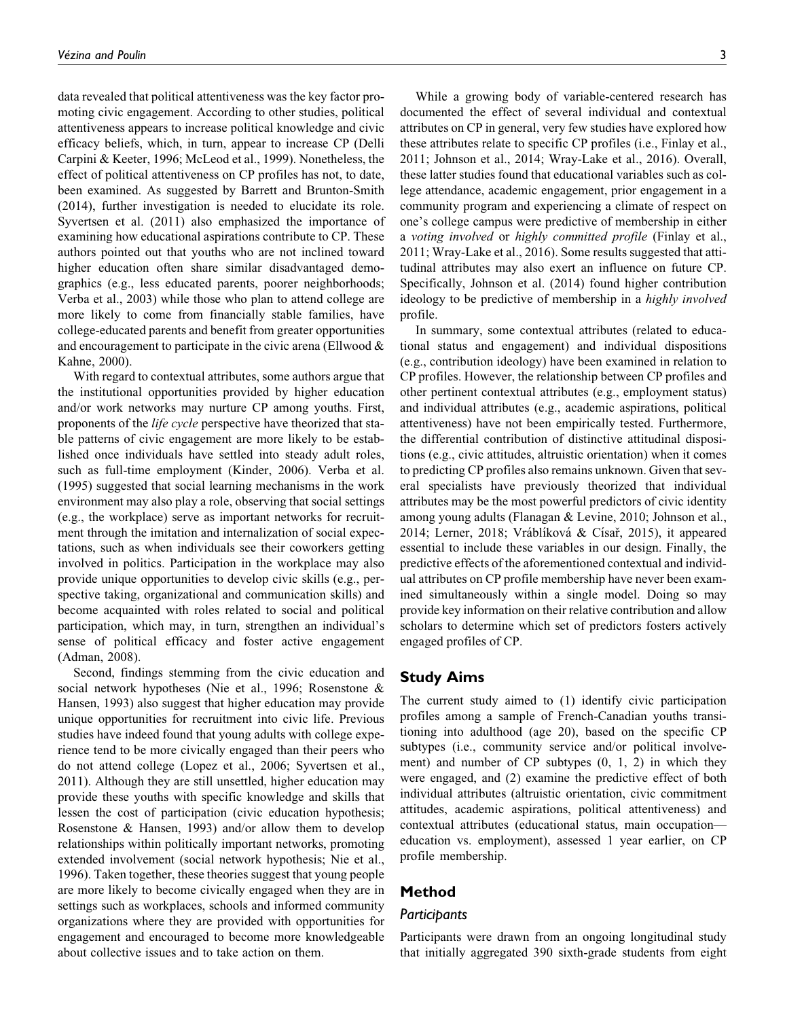data revealed that political attentiveness was the key factor promoting civic engagement. According to other studies, political attentiveness appears to increase political knowledge and civic efficacy beliefs, which, in turn, appear to increase CP (Delli Carpini & Keeter, 1996; McLeod et al., 1999). Nonetheless, the effect of political attentiveness on CP profiles has not, to date, been examined. As suggested by Barrett and Brunton-Smith (2014), further investigation is needed to elucidate its role. Syvertsen et al. (2011) also emphasized the importance of examining how educational aspirations contribute to CP. These authors pointed out that youths who are not inclined toward higher education often share similar disadvantaged demographics (e.g., less educated parents, poorer neighborhoods; Verba et al., 2003) while those who plan to attend college are more likely to come from financially stable families, have college-educated parents and benefit from greater opportunities and encouragement to participate in the civic arena (Ellwood & Kahne, 2000).

With regard to contextual attributes, some authors argue that the institutional opportunities provided by higher education and/or work networks may nurture CP among youths. First, proponents of the life cycle perspective have theorized that stable patterns of civic engagement are more likely to be established once individuals have settled into steady adult roles, such as full-time employment (Kinder, 2006). Verba et al. (1995) suggested that social learning mechanisms in the work environment may also play a role, observing that social settings (e.g., the workplace) serve as important networks for recruitment through the imitation and internalization of social expectations, such as when individuals see their coworkers getting involved in politics. Participation in the workplace may also provide unique opportunities to develop civic skills (e.g., perspective taking, organizational and communication skills) and become acquainted with roles related to social and political participation, which may, in turn, strengthen an individual's sense of political efficacy and foster active engagement (Adman, 2008).

Second, findings stemming from the civic education and social network hypotheses (Nie et al., 1996; Rosenstone & Hansen, 1993) also suggest that higher education may provide unique opportunities for recruitment into civic life. Previous studies have indeed found that young adults with college experience tend to be more civically engaged than their peers who do not attend college (Lopez et al., 2006; Syvertsen et al., 2011). Although they are still unsettled, higher education may provide these youths with specific knowledge and skills that lessen the cost of participation (civic education hypothesis; Rosenstone & Hansen, 1993) and/or allow them to develop relationships within politically important networks, promoting extended involvement (social network hypothesis; Nie et al., 1996). Taken together, these theories suggest that young people are more likely to become civically engaged when they are in settings such as workplaces, schools and informed community organizations where they are provided with opportunities for engagement and encouraged to become more knowledgeable about collective issues and to take action on them.

While a growing body of variable-centered research has documented the effect of several individual and contextual attributes on CP in general, very few studies have explored how these attributes relate to specific CP profiles (i.e., Finlay et al., 2011; Johnson et al., 2014; Wray-Lake et al., 2016). Overall, these latter studies found that educational variables such as college attendance, academic engagement, prior engagement in a community program and experiencing a climate of respect on one's college campus were predictive of membership in either a voting involved or highly committed profile (Finlay et al., 2011; Wray-Lake et al., 2016). Some results suggested that attitudinal attributes may also exert an influence on future CP. Specifically, Johnson et al. (2014) found higher contribution ideology to be predictive of membership in a highly involved profile.

In summary, some contextual attributes (related to educational status and engagement) and individual dispositions (e.g., contribution ideology) have been examined in relation to CP profiles. However, the relationship between CP profiles and other pertinent contextual attributes (e.g., employment status) and individual attributes (e.g., academic aspirations, political attentiveness) have not been empirically tested. Furthermore, the differential contribution of distinctive attitudinal dispositions (e.g., civic attitudes, altruistic orientation) when it comes to predicting CP profiles also remains unknown. Given that several specialists have previously theorized that individual attributes may be the most powerful predictors of civic identity among young adults (Flanagan & Levine, 2010; Johnson et al., 2014; Lerner, 2018; Vráblíková & Císař, 2015), it appeared essential to include these variables in our design. Finally, the predictive effects of the aforementioned contextual and individual attributes on CP profile membership have never been examined simultaneously within a single model. Doing so may provide key information on their relative contribution and allow scholars to determine which set of predictors fosters actively engaged profiles of CP.

#### **Study Aims**

The current study aimed to (1) identify civic participation profiles among a sample of French-Canadian youths transitioning into adulthood (age 20), based on the specific CP subtypes (i.e., community service and/or political involvement) and number of CP subtypes (0, 1, 2) in which they were engaged, and (2) examine the predictive effect of both individual attributes (altruistic orientation, civic commitment attitudes, academic aspirations, political attentiveness) and contextual attributes (educational status, main occupation education vs. employment), assessed 1 year earlier, on CP profile membership.

### **Method**

#### *Participants*

Participants were drawn from an ongoing longitudinal study that initially aggregated 390 sixth-grade students from eight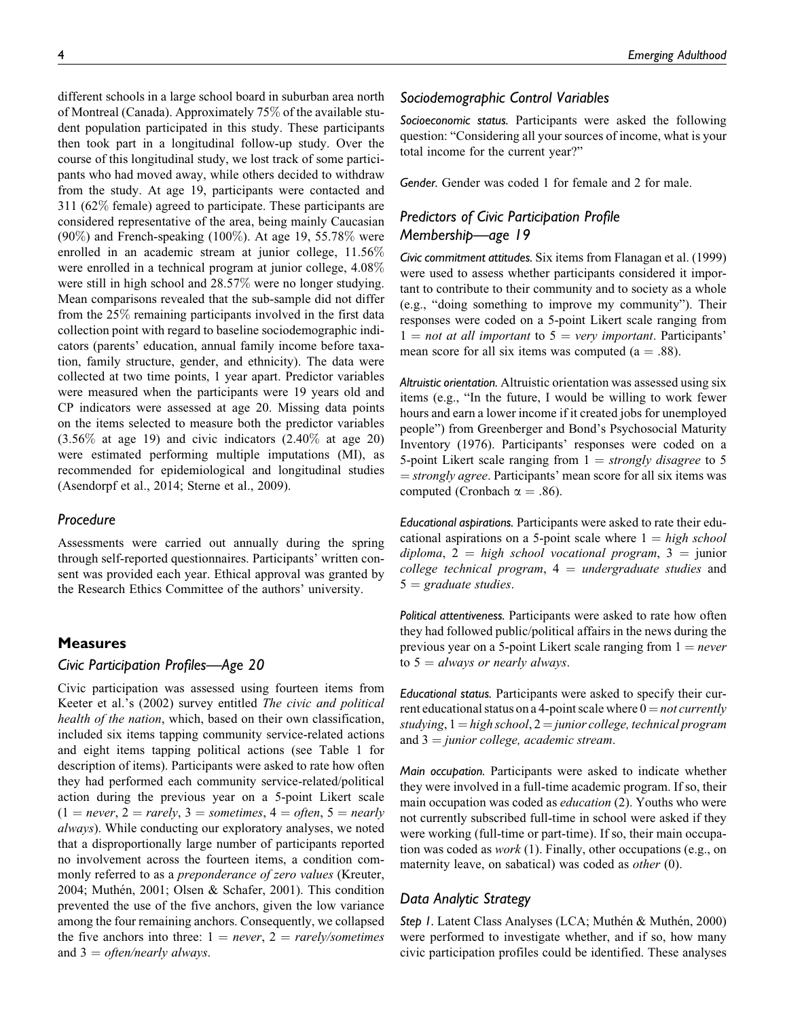different schools in a large school board in suburban area north of Montreal (Canada). Approximately 75% of the available student population participated in this study. These participants then took part in a longitudinal follow-up study. Over the course of this longitudinal study, we lost track of some participants who had moved away, while others decided to withdraw from the study. At age 19, participants were contacted and 311 (62% female) agreed to participate. These participants are considered representative of the area, being mainly Caucasian  $(90\%)$  and French-speaking  $(100\%)$ . At age 19, 55.78% were enrolled in an academic stream at junior college, 11.56% were enrolled in a technical program at junior college, 4.08% were still in high school and 28.57% were no longer studying. Mean comparisons revealed that the sub-sample did not differ from the 25% remaining participants involved in the first data collection point with regard to baseline sociodemographic indicators (parents' education, annual family income before taxation, family structure, gender, and ethnicity). The data were collected at two time points, 1 year apart. Predictor variables were measured when the participants were 19 years old and CP indicators were assessed at age 20. Missing data points on the items selected to measure both the predictor variables (3.56% at age 19) and civic indicators (2.40% at age 20) were estimated performing multiple imputations (MI), as recommended for epidemiological and longitudinal studies (Asendorpf et al., 2014; Sterne et al., 2009).

#### *Procedure*

Assessments were carried out annually during the spring through self-reported questionnaires. Participants' written consent was provided each year. Ethical approval was granted by the Research Ethics Committee of the authors' university.

### **Measures**

## *Civic Participation Profiles—Age 20*

Civic participation was assessed using fourteen items from Keeter et al.'s (2002) survey entitled The civic and political health of the nation, which, based on their own classification, included six items tapping community service-related actions and eight items tapping political actions (see Table 1 for description of items). Participants were asked to rate how often they had performed each community service-related/political action during the previous year on a 5-point Likert scale  $(1 = never, 2 = rarely, 3 = sometimes, 4 = often, 5 = nearly)$ always). While conducting our exploratory analyses, we noted that a disproportionally large number of participants reported no involvement across the fourteen items, a condition commonly referred to as a *preponderance of zero values* (Kreuter, 2004; Muthén, 2001; Olsen & Schafer, 2001). This condition prevented the use of the five anchors, given the low variance among the four remaining anchors. Consequently, we collapsed the five anchors into three:  $1 = never$ ,  $2 = rarely/sometimes$ and  $3 =$  often/nearly always.

#### *Sociodemographic Control Variables*

*Socioeconomic status.* Participants were asked the following question: "Considering all your sources of income, what is your total income for the current year?"

*Gender.* Gender was coded 1 for female and 2 for male.

# *Predictors of Civic Participation Profile Membership—age 19*

*Civic commitment attitudes.* Six items from Flanagan et al. (1999) were used to assess whether participants considered it important to contribute to their community and to society as a whole (e.g., "doing something to improve my community"). Their responses were coded on a 5-point Likert scale ranging from  $1 = not$  at all important to  $5 = very$  important. Participants' mean score for all six items was computed ( $a = .88$ ).

*Altruistic orientation.* Altruistic orientation was assessed using six items (e.g., "In the future, I would be willing to work fewer hours and earn a lower income if it created jobs for unemployed people") from Greenberger and Bond's Psychosocial Maturity Inventory (1976). Participants' responses were coded on a 5-point Likert scale ranging from  $1 =$  strongly disagree to 5  $=$  strongly agree. Participants' mean score for all six items was computed (Cronbach  $\alpha = .86$ ).

*Educational aspirations.* Participants were asked to rate their educational aspirations on a 5-point scale where  $1 = high school$ diploma,  $2 = high$  school vocational program,  $3 =$  junior college technical program,  $4 =$  undergraduate studies and  $5 = \text{graduate studies}.$ 

*Political attentiveness.* Participants were asked to rate how often they had followed public/political affairs in the news during the previous year on a 5-point Likert scale ranging from  $1 = never$ to  $5 = always$  or nearly always.

*Educational status.* Participants were asked to specify their current educational status on a 4-point scale where  $0 = not currently$ studying,  $1 = high school$ ,  $2 = junior college$ , technical program and  $3 =$  junior college, academic stream.

*Main occupation.* Participants were asked to indicate whether they were involved in a full-time academic program. If so, their main occupation was coded as *education* (2). Youths who were not currently subscribed full-time in school were asked if they were working (full-time or part-time). If so, their main occupation was coded as work (1). Finally, other occupations (e.g., on maternity leave, on sabatical) was coded as *other* (0).

#### *Data Analytic Strategy*

Step 1. Latent Class Analyses (LCA; Muthén & Muthén, 2000) were performed to investigate whether, and if so, how many civic participation profiles could be identified. These analyses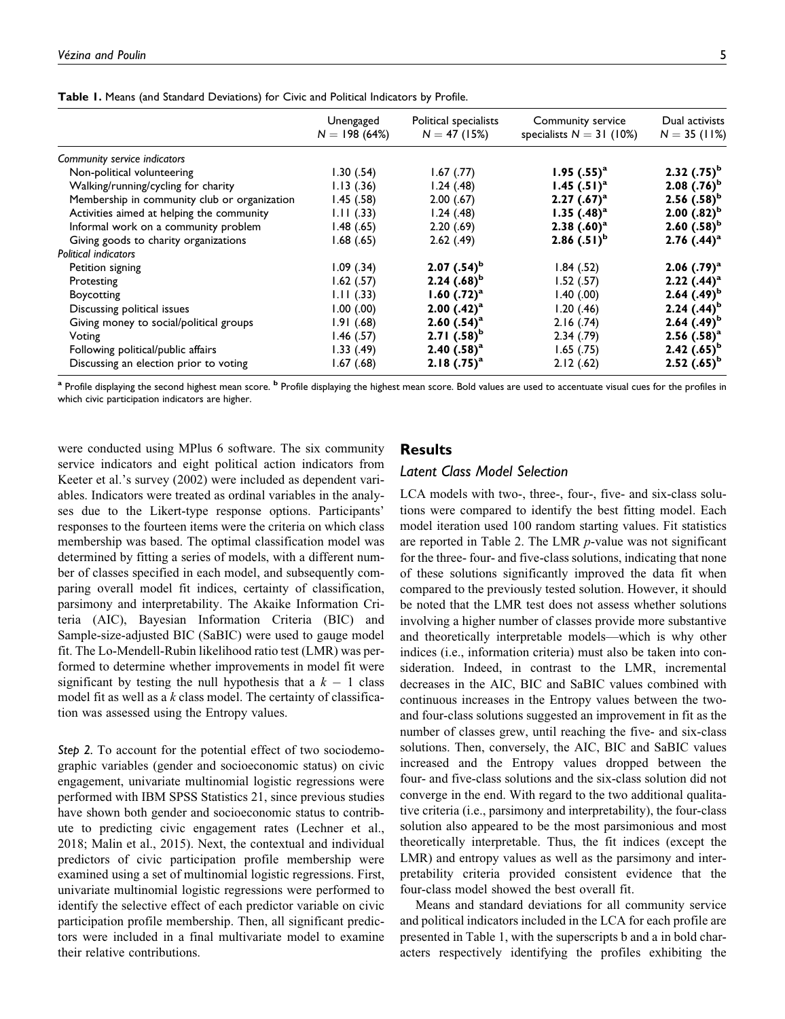|                                              | Unengaged<br>$N = 198(64%)$ | Political specialists<br>$N = 47(15%)$ | <b>Community service</b><br>specialists $N = 31$ (10%) | Dual activists<br>$N = 35$ (11%) |
|----------------------------------------------|-----------------------------|----------------------------------------|--------------------------------------------------------|----------------------------------|
| Community service indicators                 |                             |                                        |                                                        |                                  |
| Non-political volunteering                   | 1.30(0.54)                  | 1.67(0.77)                             | $1.95$ $(.55)^{a}$                                     | 2.32 $(.75)^{b}$                 |
| Walking/running/cycling for charity          | 1.13(0.36)                  | 1.24(48)                               | $1.45$ $(.51)^a$                                       | $2.08$ $(.76)^{b}$               |
| Membership in community club or organization | 1.45(.58)                   | 2.00(.67)                              | $2.27$ $(.67)^{a}$                                     | $2.56(.58)^{b}$                  |
| Activities aimed at helping the community    | 1.11(.33)                   | 1.24(.48)                              | $1.35$ $(.48)^a$                                       | $2.00(.82)^{b}$                  |
| Informal work on a community problem         | 1.48(.65)                   | 2.20(0.69)                             | 2.38 $(.60)^a$                                         | $2.60$ $(.58)^{b}$               |
| Giving goods to charity organizations        | 1.68(0.65)                  | 2.62(.49)                              | 2.86 $(.51)^{b}$                                       | $2.76$ $(.44)^a$                 |
| Political indicators                         |                             |                                        |                                                        |                                  |
| Petition signing                             | 1.09(.34)                   | $2.07$ $(.54)^{b}$                     | 1.84(.52)                                              | 2.06 $(.79)^{a}$                 |
| Protesting                                   | $1.62$ (.57)                | $2.24$ $(.68)^{b}$                     | 1.52(.57)                                              | 2.22 $(.44)^a$                   |
| Boycotting                                   | 1.11(0.33)                  | 1.60 $(.72)^{a}$                       | 1.40(0.00)                                             | 2.64 $(.49)^b$                   |
| Discussing political issues                  | $1.00$ $(.00)$              | $2.00$ $(.42)^{a}$                     | 1.20(0.46)                                             | 2.24 $(.44)^b$                   |
| Giving money to social/political groups      | 1.91(68)                    | $2.60$ $(.54)^a$                       | 2.16(.74)                                              | 2.64 $(.49)^{b}$                 |
| Voting                                       | $1.46$ (.57)                | 2.71 $(.58)^{b}$                       | 2.34(.79)                                              | $2.56$ $(.58)^{a}$               |
| Following political/public affairs           | 1.33(49)                    | $2.40$ $(.58)^{a}$                     | $1.65$ $(.75)$                                         | 2.42 $(.65)^{b}$                 |
| Discussing an election prior to voting       | 1.67(0.68)                  | $2.18(.75)^{a}$                        | 2.12(.62)                                              | $2.52$ $(.65)^{b}$               |

**Table 1.** Means (and Standard Deviations) for Civic and Political Indicators by Profile.

**<sup>a</sup>** Profile displaying the second highest mean score. **<sup>b</sup>** Profile displaying the highest mean score. Bold values are used to accentuate visual cues for the profiles in which civic participation indicators are higher.

were conducted using MPlus 6 software. The six community service indicators and eight political action indicators from Keeter et al.'s survey (2002) were included as dependent variables. Indicators were treated as ordinal variables in the analyses due to the Likert-type response options. Participants' responses to the fourteen items were the criteria on which class membership was based. The optimal classification model was determined by fitting a series of models, with a different number of classes specified in each model, and subsequently comparing overall model fit indices, certainty of classification, parsimony and interpretability. The Akaike Information Criteria (AIC), Bayesian Information Criteria (BIC) and Sample-size-adjusted BIC (SaBIC) were used to gauge model fit. The Lo-Mendell-Rubin likelihood ratio test (LMR) was performed to determine whether improvements in model fit were significant by testing the null hypothesis that a  $k - 1$  class model fit as well as a  $k$  class model. The certainty of classification was assessed using the Entropy values.

*Step 2.* To account for the potential effect of two sociodemographic variables (gender and socioeconomic status) on civic engagement, univariate multinomial logistic regressions were performed with IBM SPSS Statistics 21, since previous studies have shown both gender and socioeconomic status to contribute to predicting civic engagement rates (Lechner et al., 2018; Malin et al., 2015). Next, the contextual and individual predictors of civic participation profile membership were examined using a set of multinomial logistic regressions. First, univariate multinomial logistic regressions were performed to identify the selective effect of each predictor variable on civic participation profile membership. Then, all significant predictors were included in a final multivariate model to examine their relative contributions.

## **Results**

## *Latent Class Model Selection*

LCA models with two-, three-, four-, five- and six-class solutions were compared to identify the best fitting model. Each model iteration used 100 random starting values. Fit statistics are reported in Table 2. The LMR p-value was not significant for the three- four- and five-class solutions, indicating that none of these solutions significantly improved the data fit when compared to the previously tested solution. However, it should be noted that the LMR test does not assess whether solutions involving a higher number of classes provide more substantive and theoretically interpretable models—which is why other indices (i.e., information criteria) must also be taken into consideration. Indeed, in contrast to the LMR, incremental decreases in the AIC, BIC and SaBIC values combined with continuous increases in the Entropy values between the twoand four-class solutions suggested an improvement in fit as the number of classes grew, until reaching the five- and six-class solutions. Then, conversely, the AIC, BIC and SaBIC values increased and the Entropy values dropped between the four- and five-class solutions and the six-class solution did not converge in the end. With regard to the two additional qualitative criteria (i.e., parsimony and interpretability), the four-class solution also appeared to be the most parsimonious and most theoretically interpretable. Thus, the fit indices (except the LMR) and entropy values as well as the parsimony and interpretability criteria provided consistent evidence that the four-class model showed the best overall fit.

Means and standard deviations for all community service and political indicators included in the LCA for each profile are presented in Table 1, with the superscripts b and a in bold characters respectively identifying the profiles exhibiting the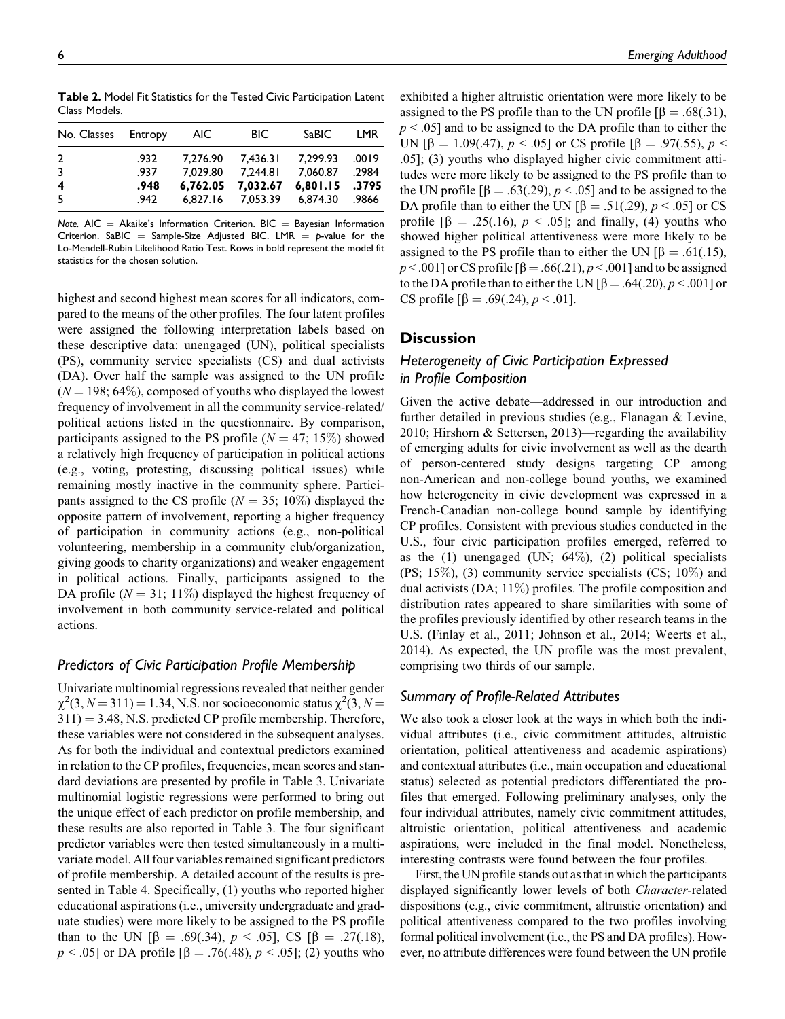| No. Classes | Entropy | AIC.     | BIC.              | SaBIC    | LMR   |
|-------------|---------|----------|-------------------|----------|-------|
| 2           | .932    | 7.276.90 | 7.436.31          | 7.299.93 | .0019 |
| 3           | .937    | 7.029.80 | 7.244.81          | 7.060.87 | .2984 |
| 4           | .948    |          | 6.762.05 7.032.67 | 6,801.15 | .3795 |
| 5           | .942    |          | 6,827.16 7,053.39 | 6.874.30 | .9866 |

**Table 2.** Model Fit Statistics for the Tested Civic Participation Latent Class Models.

*Note.* AIC  $=$  Akaike's Information Criterion. BIC  $=$  Bayesian Information Criterion. SaBIC = Sample-Size Adjusted BIC. LMR =  $p$ -value for the Lo-Mendell-Rubin Likelihood Ratio Test. Rows in bold represent the model fit statistics for the chosen solution.

highest and second highest mean scores for all indicators, compared to the means of the other profiles. The four latent profiles were assigned the following interpretation labels based on these descriptive data: unengaged (UN), political specialists (PS), community service specialists (CS) and dual activists (DA). Over half the sample was assigned to the UN profile  $(N = 198; 64\%)$ , composed of youths who displayed the lowest frequency of involvement in all the community service-related/ political actions listed in the questionnaire. By comparison, participants assigned to the PS profile ( $N = 47$ ; 15%) showed a relatively high frequency of participation in political actions (e.g., voting, protesting, discussing political issues) while remaining mostly inactive in the community sphere. Participants assigned to the CS profile ( $N = 35$ ; 10%) displayed the opposite pattern of involvement, reporting a higher frequency of participation in community actions (e.g., non-political volunteering, membership in a community club/organization, giving goods to charity organizations) and weaker engagement in political actions. Finally, participants assigned to the DA profile ( $N = 31$ ; 11%) displayed the highest frequency of involvement in both community service-related and political actions.

#### *Predictors of Civic Participation Profile Membership*

Univariate multinomial regressions revealed that neither gender  $\chi^2(3, N = 311) = 1.34, N.S.$  nor socioeconomic status  $\chi^2(3, N = 11)$  $311$ ) = 3.48, N.S. predicted CP profile membership. Therefore, these variables were not considered in the subsequent analyses. As for both the individual and contextual predictors examined in relation to the CP profiles, frequencies, mean scores and standard deviations are presented by profile in Table 3. Univariate multinomial logistic regressions were performed to bring out the unique effect of each predictor on profile membership, and these results are also reported in Table 3. The four significant predictor variables were then tested simultaneously in a multivariate model. All four variables remained significant predictors of profile membership. A detailed account of the results is presented in Table 4. Specifically, (1) youths who reported higher educational aspirations (i.e., university undergraduate and graduate studies) were more likely to be assigned to the PS profile than to the UN  $\beta = .69(.34), p < .05$ , CS  $\beta = .27(.18),$  $p < .05$  or DA profile  $\beta = .76(.48), p < .05$ ; (2) youths who

exhibited a higher altruistic orientation were more likely to be assigned to the PS profile than to the UN profile  $\beta = .68(.31)$ ,  $p < .05$ ] and to be assigned to the DA profile than to either the UN  $\beta$  = 1.09(.47), p < .05] or CS profile  $\beta$  = .97(.55), p < .05]; (3) youths who displayed higher civic commitment attitudes were more likely to be assigned to the PS profile than to the UN profile  $[\beta = .63(.29), p < .05]$  and to be assigned to the DA profile than to either the UN  $\beta$  = .51(.29), p < .05] or CS profile  $[\beta = .25(.16), p < .05]$ ; and finally, (4) youths who showed higher political attentiveness were more likely to be assigned to the PS profile than to either the UN  $\beta$  = .61(.15),  $p < .001$  or CS profile  $\beta = .66(.21), p < .001$  and to be assigned to the DA profile than to either the UN  $\beta = .64(.20), p < .001$  or CS profile  $\beta = .69(.24), p < .01$ .

## **Discussion**

## *Heterogeneity of Civic Participation Expressed in Profile Composition*

Given the active debate—addressed in our introduction and further detailed in previous studies (e.g., Flanagan & Levine, 2010; Hirshorn & Settersen, 2013)—regarding the availability of emerging adults for civic involvement as well as the dearth of person-centered study designs targeting CP among non-American and non-college bound youths, we examined how heterogeneity in civic development was expressed in a French-Canadian non-college bound sample by identifying CP profiles. Consistent with previous studies conducted in the U.S., four civic participation profiles emerged, referred to as the  $(1)$  unengaged  $(UN; 64\%), (2)$  political specialists  $(PS; 15\%), (3)$  community service specialists  $(CS; 10\%)$  and dual activists (DA; 11%) profiles. The profile composition and distribution rates appeared to share similarities with some of the profiles previously identified by other research teams in the U.S. (Finlay et al., 2011; Johnson et al., 2014; Weerts et al., 2014). As expected, the UN profile was the most prevalent, comprising two thirds of our sample.

#### *Summary of Profile-Related Attributes*

We also took a closer look at the ways in which both the individual attributes (i.e., civic commitment attitudes, altruistic orientation, political attentiveness and academic aspirations) and contextual attributes (i.e., main occupation and educational status) selected as potential predictors differentiated the profiles that emerged. Following preliminary analyses, only the four individual attributes, namely civic commitment attitudes, altruistic orientation, political attentiveness and academic aspirations, were included in the final model. Nonetheless, interesting contrasts were found between the four profiles.

First, the UN profile stands out as that in which the participants displayed significantly lower levels of both Character-related dispositions (e.g., civic commitment, altruistic orientation) and political attentiveness compared to the two profiles involving formal political involvement (i.e., the PS and DA profiles). However, no attribute differences were found between the UN profile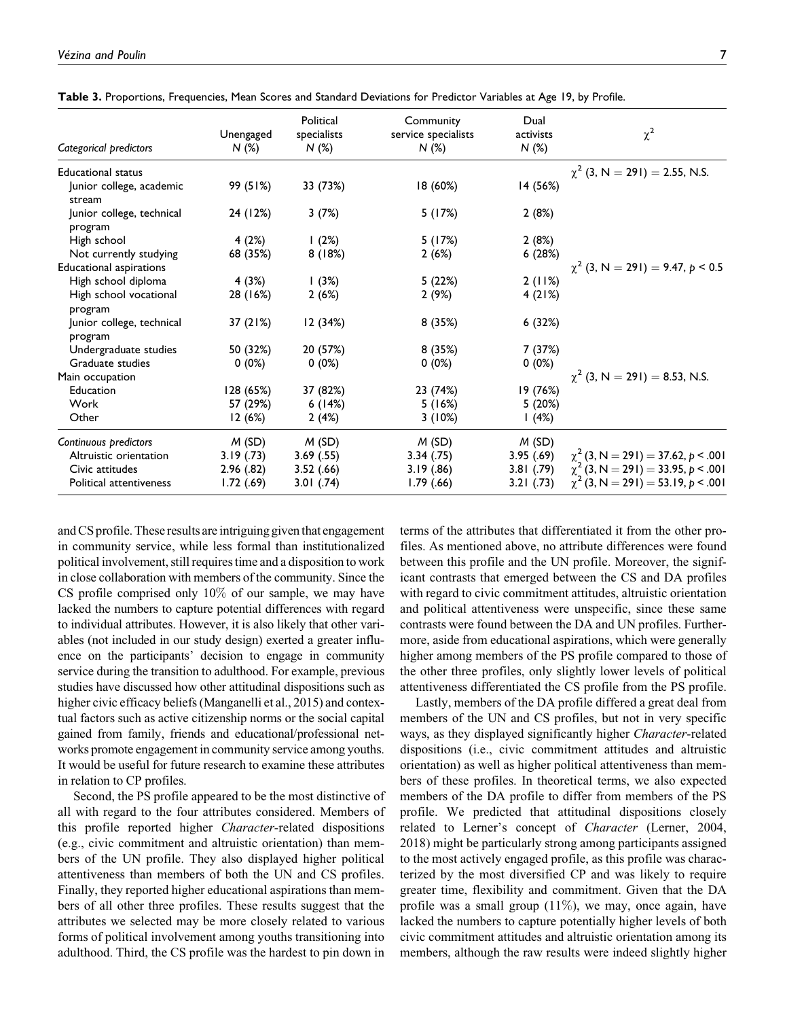| Categorical predictors               | Unengaged<br>N(%) | Political<br>specialists<br>N(%) | Community<br>service specialists<br>N(%) | Dual<br>activists<br>N(%) | $\chi^2$                                |
|--------------------------------------|-------------------|----------------------------------|------------------------------------------|---------------------------|-----------------------------------------|
| <b>Educational status</b>            |                   |                                  |                                          |                           | $\chi^2$ (3, N = 291) = 2.55, N.S.      |
| Junior college, academic<br>stream   | 99 (51%)          | 33 (73%)                         | 18 (60%)                                 | 14 (56%)                  |                                         |
| Junior college, technical<br>program | 24 (12%)          | 3(7%)                            | 5 (17%)                                  | 2(8%)                     |                                         |
| High school                          | 4(2%)             | 1(2%)                            | 5 (17%)                                  | 2(8%)                     |                                         |
| Not currently studying               | 68 (35%)          | 8(18%)                           | 2(6%)                                    | 6(28%)                    |                                         |
| <b>Educational aspirations</b>       |                   |                                  |                                          |                           | $\chi^2$ (3, N = 291) = 9.47, p < 0.5   |
| High school diploma                  | 4(3%)             | 1(3%)                            | 5 (22%)                                  | 2(11%)                    |                                         |
| High school vocational<br>program    | 28 (16%)          | 2(6%)                            | 2(9%)                                    | 4(21%)                    |                                         |
| Junior college, technical<br>program | 37 (21%)          | 12(34%)                          | 8 (35%)                                  | 6(32%)                    |                                         |
| Undergraduate studies                | 50 (32%)          | 20 (57%)                         | 8 (35%)                                  | 7 (37%)                   |                                         |
| Graduate studies                     | $0(0\%)$          | $0(0\%)$                         | $0(0\%)$                                 | 0(0%)                     |                                         |
| Main occupation                      |                   |                                  |                                          |                           | $\chi^2$ (3, N = 291) = 8.53, N.S.      |
| <b>Education</b>                     | 128 (65%)         | 37 (82%)                         | 23 (74%)                                 | 19 (76%)                  |                                         |
| Work                                 | 57 (29%)          | 6(14%)                           | 5 (16%)                                  | 5 (20%)                   |                                         |
| Other                                | 12 (6%)           | 2(4%)                            | 3(10%)                                   | 1(4%)                     |                                         |
| Continuous predictors                | M(SD)             | M(SD)                            | M(SD)                                    | M(SD)                     |                                         |
| Altruistic orientation               | 3.19(0.73)        | 3.69(0.55)                       | 3.34(.75)                                | 3.95(.69)                 | $\chi^2$ (3, N = 291) = 37.62, p < .001 |
| Civic attitudes                      | 2.96(.82)         | 3.52(66)                         | 3.19(0.86)                               | 3.81 (.79)                | $\chi^2$ (3, N = 291) = 33.95, p < .001 |
| Political attentiveness              | 1.72 (.69)        | $3.01$ (.74)                     | 1.79(0.66)                               | 3.21 (.73)                | $\chi^2$ (3, N = 291) = 53.19, p < .001 |

**Table 3.** Proportions, Frequencies, Mean Scores and Standard Deviations for Predictor Variables at Age 19, by Profile.

and CS profile. These results are intriguing given that engagement in community service, while less formal than institutionalized political involvement, still requires time and a disposition to work in close collaboration with members of the community. Since the CS profile comprised only 10% of our sample, we may have lacked the numbers to capture potential differences with regard to individual attributes. However, it is also likely that other variables (not included in our study design) exerted a greater influence on the participants' decision to engage in community service during the transition to adulthood. For example, previous studies have discussed how other attitudinal dispositions such as higher civic efficacy beliefs (Manganelli et al., 2015) and contextual factors such as active citizenship norms or the social capital gained from family, friends and educational/professional networks promote engagement in community service among youths. It would be useful for future research to examine these attributes in relation to CP profiles.

Second, the PS profile appeared to be the most distinctive of all with regard to the four attributes considered. Members of this profile reported higher Character-related dispositions (e.g., civic commitment and altruistic orientation) than members of the UN profile. They also displayed higher political attentiveness than members of both the UN and CS profiles. Finally, they reported higher educational aspirations than members of all other three profiles. These results suggest that the attributes we selected may be more closely related to various forms of political involvement among youths transitioning into adulthood. Third, the CS profile was the hardest to pin down in

terms of the attributes that differentiated it from the other profiles. As mentioned above, no attribute differences were found between this profile and the UN profile. Moreover, the significant contrasts that emerged between the CS and DA profiles with regard to civic commitment attitudes, altruistic orientation and political attentiveness were unspecific, since these same contrasts were found between the DA and UN profiles. Furthermore, aside from educational aspirations, which were generally higher among members of the PS profile compared to those of the other three profiles, only slightly lower levels of political attentiveness differentiated the CS profile from the PS profile.

Lastly, members of the DA profile differed a great deal from members of the UN and CS profiles, but not in very specific ways, as they displayed significantly higher Character-related dispositions (i.e., civic commitment attitudes and altruistic orientation) as well as higher political attentiveness than members of these profiles. In theoretical terms, we also expected members of the DA profile to differ from members of the PS profile. We predicted that attitudinal dispositions closely related to Lerner's concept of Character (Lerner, 2004, 2018) might be particularly strong among participants assigned to the most actively engaged profile, as this profile was characterized by the most diversified CP and was likely to require greater time, flexibility and commitment. Given that the DA profile was a small group  $(11\%)$ , we may, once again, have lacked the numbers to capture potentially higher levels of both civic commitment attitudes and altruistic orientation among its members, although the raw results were indeed slightly higher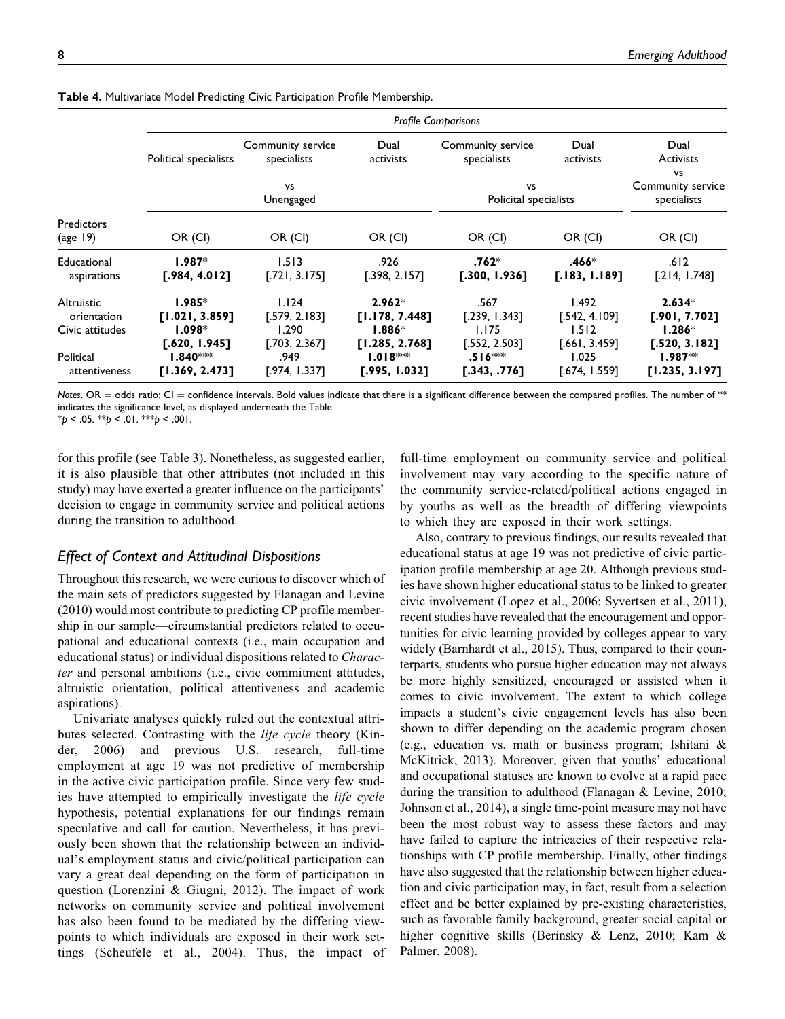|                                                                                   | <b>Profile Comparisons</b>                                                              |                                                                           |                                                                                         |                                                                            |                                                                                   |                                                                                       |  |  |
|-----------------------------------------------------------------------------------|-----------------------------------------------------------------------------------------|---------------------------------------------------------------------------|-----------------------------------------------------------------------------------------|----------------------------------------------------------------------------|-----------------------------------------------------------------------------------|---------------------------------------------------------------------------------------|--|--|
|                                                                                   | Political specialists                                                                   | Community service<br>specialists                                          | Dual<br>activists                                                                       | Community service<br>specialists                                           | Dual<br>activists                                                                 | Dual<br><b>Activists</b><br>VS                                                        |  |  |
| <b>VS</b><br>Unengaged                                                            |                                                                                         |                                                                           |                                                                                         | VS<br>Policital specialists                                                |                                                                                   | Community service<br>specialists                                                      |  |  |
| Predictors<br>(age 19)                                                            | OR (CI)                                                                                 | OR (CI)                                                                   | OR (CI)                                                                                 | OR (CI)                                                                    | OR (CI)                                                                           | OR (CI)                                                                               |  |  |
| Educational<br>aspirations                                                        | $1.987*$<br>[.984, 4.012]                                                               | 1.513<br>[.721, 3.175]                                                    | .926<br>[.398, 2.157]                                                                   | $.762*$<br>[.300, 1.936]                                                   | $.466*$<br>[.183, 1.189]                                                          | .612<br>[.214, 1.748]                                                                 |  |  |
| <b>Altruistic</b><br>orientation<br>Civic attitudes<br>Political<br>attentiveness | $1.985*$<br>[1.021, 3.859]<br>$1.098*$<br>[.620, 1.945]<br>$1.840***$<br>[1.369, 2.473] | 1.124<br>[.579, 2.183]<br>1.290<br>[.703, 2.367]<br>.949<br>[.974, 1.337] | $2.962*$<br>[1.178, 7.448]<br>$1.886*$<br>[1.285, 2.768]<br>$1.018***$<br>[.995, 1.032] | .567<br>[.239, 1.343]<br>I.I75<br>[.552, 2.503]<br>.516***<br>[.343, .776] | <b>1.492</b><br>[.542, 4.109]<br>1.512<br>[.661, 3.459]<br>1.025<br>[.674, 1.559] | $2.634*$<br>[.901, 7.702]<br>$1.286*$<br>[.520, 3.182]<br>$1.987**$<br>[1.235, 3.197] |  |  |

**Table 4.** Multivariate Model Predicting Civic Participation Profile Membership.

 $Notes$ . OR  $=$  odds ratio; CI  $=$  confidence intervals. Bold values indicate that there is a significant difference between the compared profiles. The number of  $**$ indicates the significance level, as displayed underneath the Table.  $*_{p}$  < .05.  $*_{p}$  < .01.  $*_{p}$  < .001.

for this profile (see Table 3). Nonetheless, as suggested earlier, it is also plausible that other attributes (not included in this study) may have exerted a greater influence on the participants' decision to engage in community service and political actions during the transition to adulthood.

#### *Effect of Context and Attitudinal Dispositions*

Throughout this research, we were curious to discover which of the main sets of predictors suggested by Flanagan and Levine (2010) would most contribute to predicting CP profile membership in our sample—circumstantial predictors related to occupational and educational contexts (i.e., main occupation and educational status) or individual dispositions related to Character and personal ambitions (i.e., civic commitment attitudes, altruistic orientation, political attentiveness and academic aspirations).

Univariate analyses quickly ruled out the contextual attributes selected. Contrasting with the *life cycle* theory (Kinder, 2006) and previous U.S. research, full-time employment at age 19 was not predictive of membership in the active civic participation profile. Since very few studies have attempted to empirically investigate the life cycle hypothesis, potential explanations for our findings remain speculative and call for caution. Nevertheless, it has previously been shown that the relationship between an individual's employment status and civic/political participation can vary a great deal depending on the form of participation in question (Lorenzini & Giugni, 2012). The impact of work networks on community service and political involvement has also been found to be mediated by the differing viewpoints to which individuals are exposed in their work settings (Scheufele et al., 2004). Thus, the impact of full-time employment on community service and political involvement may vary according to the specific nature of the community service-related/political actions engaged in by youths as well as the breadth of differing viewpoints to which they are exposed in their work settings.

Also, contrary to previous findings, our results revealed that educational status at age 19 was not predictive of civic participation profile membership at age 20. Although previous studies have shown higher educational status to be linked to greater civic involvement (Lopez et al., 2006; Syvertsen et al., 2011), recent studies have revealed that the encouragement and opportunities for civic learning provided by colleges appear to vary widely (Barnhardt et al., 2015). Thus, compared to their counterparts, students who pursue higher education may not always be more highly sensitized, encouraged or assisted when it comes to civic involvement. The extent to which college impacts a student's civic engagement levels has also been shown to differ depending on the academic program chosen (e.g., education vs. math or business program; Ishitani & McKitrick, 2013). Moreover, given that youths' educational and occupational statuses are known to evolve at a rapid pace during the transition to adulthood (Flanagan & Levine, 2010; Johnson et al., 2014), a single time-point measure may not have been the most robust way to assess these factors and may have failed to capture the intricacies of their respective relationships with CP profile membership. Finally, other findings have also suggested that the relationship between higher education and civic participation may, in fact, result from a selection effect and be better explained by pre-existing characteristics, such as favorable family background, greater social capital or higher cognitive skills (Berinsky & Lenz, 2010; Kam & Palmer, 2008).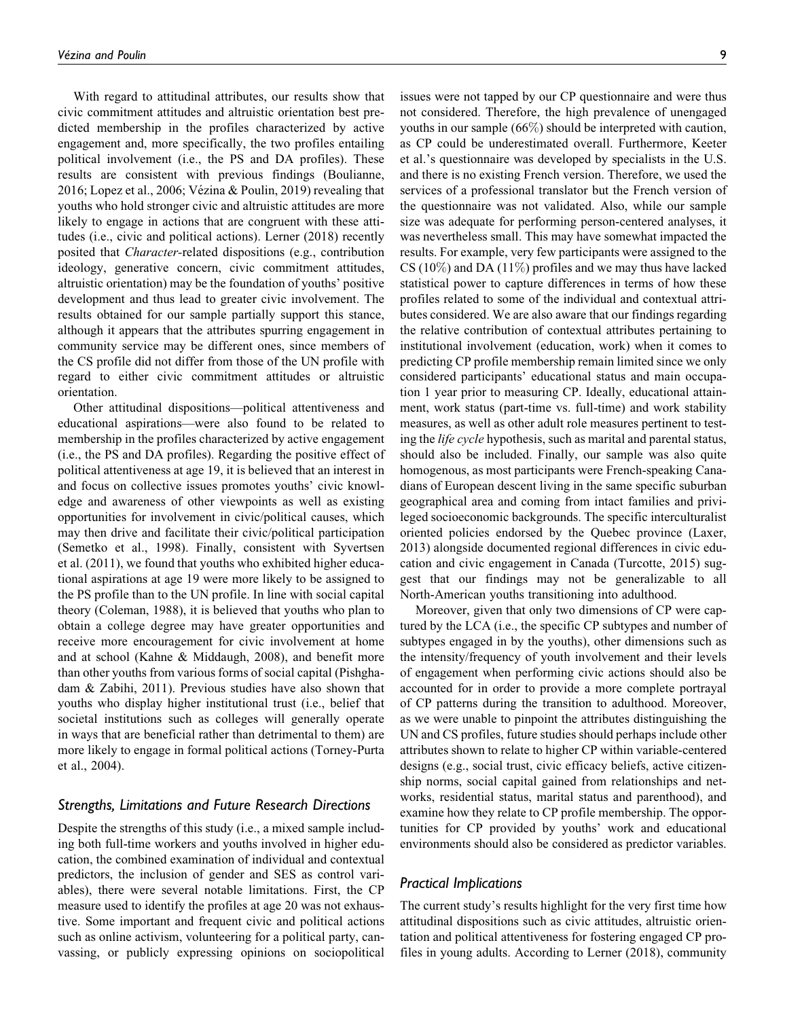With regard to attitudinal attributes, our results show that civic commitment attitudes and altruistic orientation best predicted membership in the profiles characterized by active engagement and, more specifically, the two profiles entailing political involvement (i.e., the PS and DA profiles). These results are consistent with previous findings (Boulianne, 2016; Lopez et al., 2006; Vézina & Poulin, 2019) revealing that youths who hold stronger civic and altruistic attitudes are more likely to engage in actions that are congruent with these attitudes (i.e., civic and political actions). Lerner (2018) recently posited that Character-related dispositions (e.g., contribution ideology, generative concern, civic commitment attitudes, altruistic orientation) may be the foundation of youths' positive development and thus lead to greater civic involvement. The results obtained for our sample partially support this stance, although it appears that the attributes spurring engagement in community service may be different ones, since members of the CS profile did not differ from those of the UN profile with regard to either civic commitment attitudes or altruistic orientation.

Other attitudinal dispositions—political attentiveness and educational aspirations—were also found to be related to membership in the profiles characterized by active engagement (i.e., the PS and DA profiles). Regarding the positive effect of political attentiveness at age 19, it is believed that an interest in and focus on collective issues promotes youths' civic knowledge and awareness of other viewpoints as well as existing opportunities for involvement in civic/political causes, which may then drive and facilitate their civic/political participation (Semetko et al., 1998). Finally, consistent with Syvertsen et al. (2011), we found that youths who exhibited higher educational aspirations at age 19 were more likely to be assigned to the PS profile than to the UN profile. In line with social capital theory (Coleman, 1988), it is believed that youths who plan to obtain a college degree may have greater opportunities and receive more encouragement for civic involvement at home and at school (Kahne & Middaugh, 2008), and benefit more than other youths from various forms of social capital (Pishghadam & Zabihi, 2011). Previous studies have also shown that youths who display higher institutional trust (i.e., belief that societal institutions such as colleges will generally operate in ways that are beneficial rather than detrimental to them) are more likely to engage in formal political actions (Torney-Purta et al., 2004).

#### *Strengths, Limitations and Future Research Directions*

Despite the strengths of this study (i.e., a mixed sample including both full-time workers and youths involved in higher education, the combined examination of individual and contextual predictors, the inclusion of gender and SES as control variables), there were several notable limitations. First, the CP measure used to identify the profiles at age 20 was not exhaustive. Some important and frequent civic and political actions such as online activism, volunteering for a political party, canvassing, or publicly expressing opinions on sociopolitical issues were not tapped by our CP questionnaire and were thus not considered. Therefore, the high prevalence of unengaged youths in our sample (66%) should be interpreted with caution, as CP could be underestimated overall. Furthermore, Keeter et al.'s questionnaire was developed by specialists in the U.S. and there is no existing French version. Therefore, we used the services of a professional translator but the French version of the questionnaire was not validated. Also, while our sample size was adequate for performing person-centered analyses, it was nevertheless small. This may have somewhat impacted the results. For example, very few participants were assigned to the  $CS(10\%)$  and DA (11%) profiles and we may thus have lacked statistical power to capture differences in terms of how these profiles related to some of the individual and contextual attributes considered. We are also aware that our findings regarding the relative contribution of contextual attributes pertaining to institutional involvement (education, work) when it comes to predicting CP profile membership remain limited since we only considered participants' educational status and main occupation 1 year prior to measuring CP. Ideally, educational attainment, work status (part-time vs. full-time) and work stability measures, as well as other adult role measures pertinent to testing the life cycle hypothesis, such as marital and parental status, should also be included. Finally, our sample was also quite homogenous, as most participants were French-speaking Canadians of European descent living in the same specific suburban geographical area and coming from intact families and privileged socioeconomic backgrounds. The specific interculturalist oriented policies endorsed by the Quebec province (Laxer, 2013) alongside documented regional differences in civic education and civic engagement in Canada (Turcotte, 2015) suggest that our findings may not be generalizable to all North-American youths transitioning into adulthood.

Moreover, given that only two dimensions of CP were captured by the LCA (i.e., the specific CP subtypes and number of subtypes engaged in by the youths), other dimensions such as the intensity/frequency of youth involvement and their levels of engagement when performing civic actions should also be accounted for in order to provide a more complete portrayal of CP patterns during the transition to adulthood. Moreover, as we were unable to pinpoint the attributes distinguishing the UN and CS profiles, future studies should perhaps include other attributes shown to relate to higher CP within variable-centered designs (e.g., social trust, civic efficacy beliefs, active citizenship norms, social capital gained from relationships and networks, residential status, marital status and parenthood), and examine how they relate to CP profile membership. The opportunities for CP provided by youths' work and educational environments should also be considered as predictor variables.

#### *Practical Implications*

The current study's results highlight for the very first time how attitudinal dispositions such as civic attitudes, altruistic orientation and political attentiveness for fostering engaged CP profiles in young adults. According to Lerner (2018), community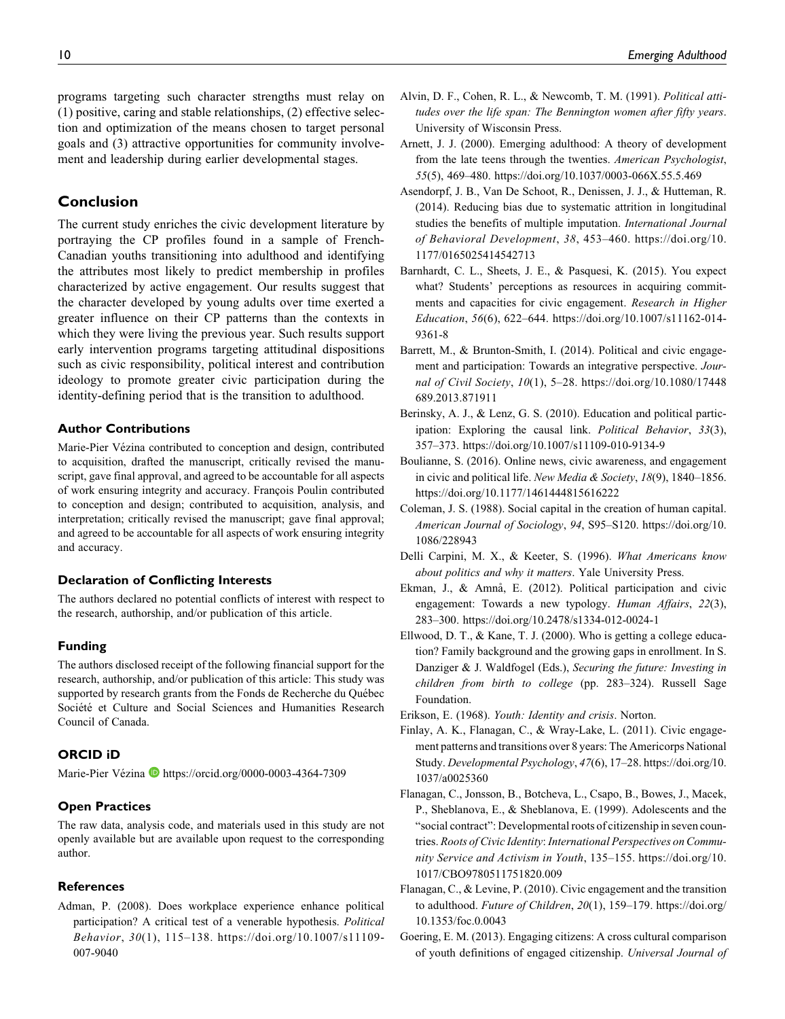programs targeting such character strengths must relay on (1) positive, caring and stable relationships, (2) effective selection and optimization of the means chosen to target personal goals and (3) attractive opportunities for community involvement and leadership during earlier developmental stages.

# **Conclusion**

The current study enriches the civic development literature by portraying the CP profiles found in a sample of French-Canadian youths transitioning into adulthood and identifying the attributes most likely to predict membership in profiles characterized by active engagement. Our results suggest that the character developed by young adults over time exerted a greater influence on their CP patterns than the contexts in which they were living the previous year. Such results support early intervention programs targeting attitudinal dispositions such as civic responsibility, political interest and contribution ideology to promote greater civic participation during the identity-defining period that is the transition to adulthood.

#### **Author Contributions**

Marie-Pier Vézina contributed to conception and design, contributed to acquisition, drafted the manuscript, critically revised the manuscript, gave final approval, and agreed to be accountable for all aspects of work ensuring integrity and accuracy. François Poulin contributed to conception and design; contributed to acquisition, analysis, and interpretation; critically revised the manuscript; gave final approval; and agreed to be accountable for all aspects of work ensuring integrity and accuracy.

#### **Declaration of Conflicting Interests**

The authors declared no potential conflicts of interest with respect to the research, authorship, and/or publication of this article.

#### **Funding**

The authors disclosed receipt of the following financial support for the research, authorship, and/or publication of this article: This study was supported by research grants from the Fonds de Recherche du Québec Société et Culture and Social Sciences and Humanities Research Council of Canada.

#### **ORCID iD**

Marie-Pier Vézina <https://orcid.org/0000-0003-4364-7309>

#### **Open Practices**

The raw data, analysis code, and materials used in this study are not openly available but are available upon request to the corresponding author.

#### **References**

Adman, P. (2008). Does workplace experience enhance political participation? A critical test of a venerable hypothesis. Political Behavior, 30(1), 115–138. [https://doi.org/10.1007/s11109-](https://doi.org/10.1007/s11109-007-9040) [007-9040](https://doi.org/10.1007/s11109-007-9040)

- Alvin, D. F., Cohen, R. L., & Newcomb, T. M. (1991). Political attitudes over the life span: The Bennington women after fifty years. University of Wisconsin Press.
- Arnett, J. J. (2000). Emerging adulthood: A theory of development from the late teens through the twenties. American Psychologist, 55(5), 469–480.<https://doi.org/10.1037/0003-066X.55.5.469>
- Asendorpf, J. B., Van De Schoot, R., Denissen, J. J., & Hutteman, R. (2014). Reducing bias due to systematic attrition in longitudinal studies the benefits of multiple imputation. International Journal of Behavioral Development, 38, 453–460. [https://doi.org/10.](https://doi.org/10.1177/0165025414542713) [1177/0165025414542713](https://doi.org/10.1177/0165025414542713)
- Barnhardt, C. L., Sheets, J. E., & Pasquesi, K. (2015). You expect what? Students' perceptions as resources in acquiring commitments and capacities for civic engagement. Research in Higher Education, 56(6), 622–644. [https://doi.org/10.1007/s11162-014-](https://doi.org/10.1007/s11162-014-9361-8) [9361-8](https://doi.org/10.1007/s11162-014-9361-8)
- Barrett, M., & Brunton-Smith, I. (2014). Political and civic engagement and participation: Towards an integrative perspective. Journal of Civil Society, 10(1), 5–28. [https://doi.org/10.1080/17448](https://doi.org/10.1080/17448689.2013.871911) [689.2013.871911](https://doi.org/10.1080/17448689.2013.871911)
- Berinsky, A. J., & Lenz, G. S. (2010). Education and political participation: Exploring the causal link. Political Behavior, 33(3), 357–373.<https://doi.org/10.1007/s11109-010-9134-9>
- Boulianne, S. (2016). Online news, civic awareness, and engagement in civic and political life. New Media & Society, 18(9), 1840–1856. <https://doi.org/10.1177/1461444815616222>
- Coleman, J. S. (1988). Social capital in the creation of human capital. American Journal of Sociology, 94, S95–S120. [https://doi.org/10.](https://doi.org/10.1086/228943) [1086/228943](https://doi.org/10.1086/228943)
- Delli Carpini, M. X., & Keeter, S. (1996). What Americans know about politics and why it matters. Yale University Press.
- Ekman, J., & Amnå, E. (2012). Political participation and civic engagement: Towards a new typology. Human Affairs, 22(3), 283–300.<https://doi.org/10.2478/s1334-012-0024-1>
- Ellwood, D. T., & Kane, T. J. (2000). Who is getting a college education? Family background and the growing gaps in enrollment. In S. Danziger & J. Waldfogel (Eds.), Securing the future: Investing in children from birth to college (pp. 283–324). Russell Sage Foundation.

Erikson, E. (1968). Youth: Identity and crisis. Norton.

- Finlay, A. K., Flanagan, C., & Wray-Lake, L. (2011). Civic engagement patterns and transitions over 8 years: The Americorps National Study. Developmental Psychology, 47(6), 17–28. [https://doi.org/10.](https://doi.org/10.1037/a0025360) [1037/a0025360](https://doi.org/10.1037/a0025360)
- Flanagan, C., Jonsson, B., Botcheva, L., Csapo, B., Bowes, J., Macek, P., Sheblanova, E., & Sheblanova, E. (1999). Adolescents and the "social contract": Developmental roots of citizenship in seven countries. Roots of Civic Identity: International Perspectives on Community Service and Activism in Youth, 135–155. [https://doi.org/10.](https://doi.org/10.1017/CBO9780511751820.009) [1017/CBO9780511751820.009](https://doi.org/10.1017/CBO9780511751820.009)
- Flanagan, C., & Levine, P. (2010). Civic engagement and the transition to adulthood. Future of Children, 20(1), 159–179. [https://doi.org/](https://doi.org/10.1353/foc.0.0043) [10.1353/foc.0.0043](https://doi.org/10.1353/foc.0.0043)
- Goering, E. M. (2013). Engaging citizens: A cross cultural comparison of youth definitions of engaged citizenship. Universal Journal of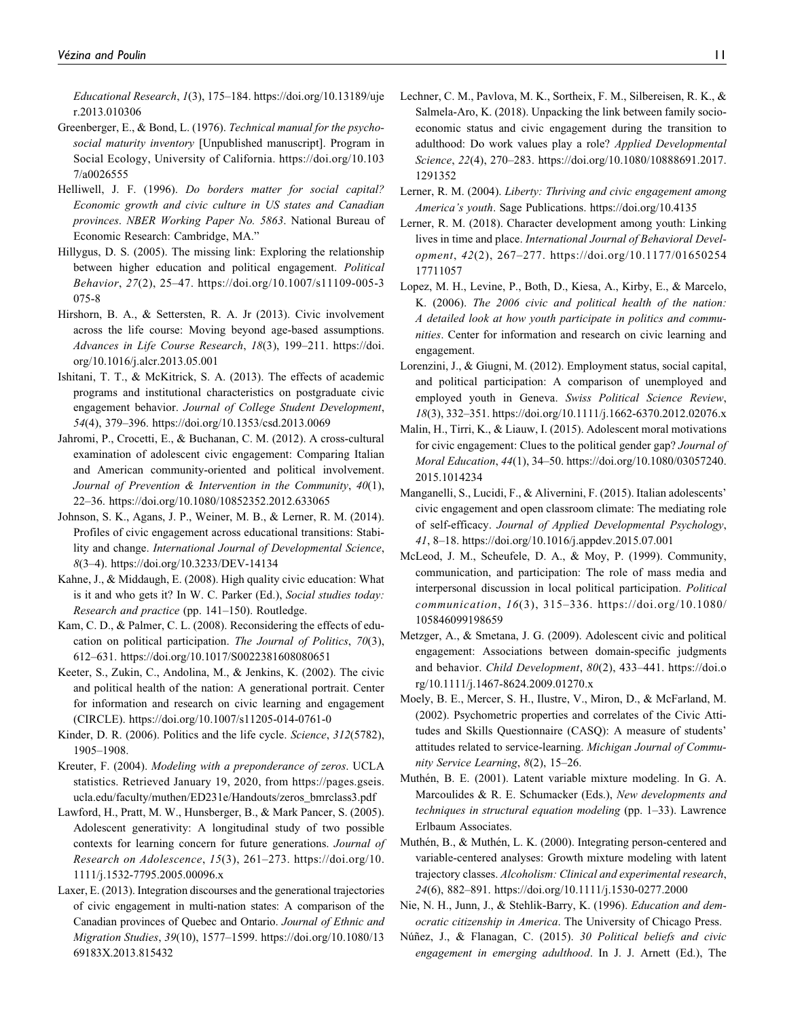Educational Research, 1(3), 175–184. [https://doi.org/10.13189/uje](https://doi.org/10.13189/ujer.2013.010306) [r.2013.010306](https://doi.org/10.13189/ujer.2013.010306)

- Greenberger, E., & Bond, L. (1976). Technical manual for the psychosocial maturity inventory [Unpublished manuscript]. Program in Social Ecology, University of California. [https://doi.org/10.103](https://doi.org/10.1037/a0026555) [7/a0026555](https://doi.org/10.1037/a0026555)
- Helliwell, J. F. (1996). Do borders matter for social capital? Economic growth and civic culture in US states and Canadian provinces. NBER Working Paper No. 5863. National Bureau of Economic Research: Cambridge, MA."
- Hillygus, D. S. (2005). The missing link: Exploring the relationship between higher education and political engagement. Political Behavior, 27(2), 25–47. [https://doi.org/10.1007/s11109-005-3](https://doi.org/10.1007/s11109-005-3075-8) [075-8](https://doi.org/10.1007/s11109-005-3075-8)
- Hirshorn, B. A., & Settersten, R. A. Jr (2013). Civic involvement across the life course: Moving beyond age-based assumptions. Advances in Life Course Research, 18(3), 199–211. [https://doi.](https://doi.org/10.1016/j.alcr.2013.05.001) [org/10.1016/j.alcr.2013.05.001](https://doi.org/10.1016/j.alcr.2013.05.001)
- Ishitani, T. T., & McKitrick, S. A. (2013). The effects of academic programs and institutional characteristics on postgraduate civic engagement behavior. Journal of College Student Development, 54(4), 379–396.<https://doi.org/10.1353/csd.2013.0069>
- Jahromi, P., Crocetti, E., & Buchanan, C. M. (2012). A cross-cultural examination of adolescent civic engagement: Comparing Italian and American community-oriented and political involvement. Journal of Prevention & Intervention in the Community, 40(1), 22–36.<https://doi.org/10.1080/10852352.2012.633065>
- Johnson, S. K., Agans, J. P., Weiner, M. B., & Lerner, R. M. (2014). Profiles of civic engagement across educational transitions: Stability and change. International Journal of Developmental Science, 8(3–4).<https://doi.org/10.3233/DEV-14134>
- Kahne, J., & Middaugh, E. (2008). High quality civic education: What is it and who gets it? In W. C. Parker (Ed.), Social studies today: Research and practice (pp. 141–150). Routledge.
- Kam, C. D., & Palmer, C. L. (2008). Reconsidering the effects of education on political participation. The Journal of Politics, 70(3), 612–631.<https://doi.org/10.1017/S0022381608080651>
- Keeter, S., Zukin, C., Andolina, M., & Jenkins, K. (2002). The civic and political health of the nation: A generational portrait. Center for information and research on civic learning and engagement (CIRCLE).<https://doi.org/10.1007/s11205-014-0761-0>
- Kinder, D. R. (2006). Politics and the life cycle. Science, 312(5782), 1905–1908.
- Kreuter, F. (2004). Modeling with a preponderance of zeros. UCLA statistics. Retrieved January 19, 2020, from [https://pages.gseis.](https://pages.gseis.ucla.edu/faculty/muthen/ED231e/Handouts/zeros_bmrclass3.pdf) [ucla.edu/faculty/muthen/ED231e/Handouts/zeros\\_bmrclass3.pdf](https://pages.gseis.ucla.edu/faculty/muthen/ED231e/Handouts/zeros_bmrclass3.pdf)
- Lawford, H., Pratt, M. W., Hunsberger, B., & Mark Pancer, S. (2005). Adolescent generativity: A longitudinal study of two possible contexts for learning concern for future generations. Journal of Research on Adolescence, 15(3), 261-273. [https://doi.org/10.](https://doi.org/10.1111/j.1532-7795.2005.00096.x) [1111/j.1532-7795.2005.00096.x](https://doi.org/10.1111/j.1532-7795.2005.00096.x)
- Laxer, E. (2013). Integration discourses and the generational trajectories of civic engagement in multi-nation states: A comparison of the Canadian provinces of Quebec and Ontario. Journal of Ethnic and Migration Studies, 39(10), 1577–1599. [https://doi.org/10.1080/13](https://doi.org/10.1080/1369183X.2013.815432) [69183X.2013.815432](https://doi.org/10.1080/1369183X.2013.815432)
- Lechner, C. M., Pavlova, M. K., Sortheix, F. M., Silbereisen, R. K., & Salmela-Aro, K. (2018). Unpacking the link between family socioeconomic status and civic engagement during the transition to adulthood: Do work values play a role? Applied Developmental Science, 22(4), 270–283. [https://doi.org/10.1080/10888691.2017.](https://doi.org/10.1080/10888691.2017.1291352) [1291352](https://doi.org/10.1080/10888691.2017.1291352)
- Lerner, R. M. (2004). Liberty: Thriving and civic engagement among America's youth. Sage Publications.<https://doi.org/10.4135>
- Lerner, R. M. (2018). Character development among youth: Linking lives in time and place. International Journal of Behavioral Development, 42(2), 267–277. [https://doi.org/10.1177/01650254](https://doi.org/10.1177/0165025417711057) [17711057](https://doi.org/10.1177/0165025417711057)
- Lopez, M. H., Levine, P., Both, D., Kiesa, A., Kirby, E., & Marcelo, K. (2006). The 2006 civic and political health of the nation: A detailed look at how youth participate in politics and communities. Center for information and research on civic learning and engagement.
- Lorenzini, J., & Giugni, M. (2012). Employment status, social capital, and political participation: A comparison of unemployed and employed youth in Geneva. Swiss Political Science Review, 18(3), 332–351.<https://doi.org/10.1111/j.1662-6370.2012.02076.x>
- Malin, H., Tirri, K., & Liauw, I. (2015). Adolescent moral motivations for civic engagement: Clues to the political gender gap? Journal of Moral Education, 44(1), 34–50. [https://doi.org/10.1080/03057240.](https://doi.org/10.1080/03057240.2015.1014234) [2015.1014234](https://doi.org/10.1080/03057240.2015.1014234)
- Manganelli, S., Lucidi, F., & Alivernini, F. (2015). Italian adolescents' civic engagement and open classroom climate: The mediating role of self-efficacy. Journal of Applied Developmental Psychology, 41, 8–18.<https://doi.org/10.1016/j.appdev.2015.07.001>
- McLeod, J. M., Scheufele, D. A., & Moy, P. (1999). Community, communication, and participation: The role of mass media and interpersonal discussion in local political participation. Political communication, 16(3), 315–336. [https://doi.org/10.1080/](https://doi.org/10.1080/105846099198659) [105846099198659](https://doi.org/10.1080/105846099198659)
- Metzger, A., & Smetana, J. G. (2009). Adolescent civic and political engagement: Associations between domain-specific judgments and behavior. Child Development, 80(2), 433–441. [https://doi.o](https://doi.org/10.1111/j.1467-8624.2009.01270.x) [rg/10.1111/j.1467-8624.2009.01270.x](https://doi.org/10.1111/j.1467-8624.2009.01270.x)
- Moely, B. E., Mercer, S. H., Ilustre, V., Miron, D., & McFarland, M. (2002). Psychometric properties and correlates of the Civic Attitudes and Skills Questionnaire (CASQ): A measure of students' attitudes related to service-learning. Michigan Journal of Community Service Learning, 8(2), 15–26.
- Muthén, B. E. (2001). Latent variable mixture modeling. In G. A. Marcoulides & R. E. Schumacker (Eds.), New developments and techniques in structural equation modeling (pp. 1–33). Lawrence Erlbaum Associates.
- Muthén, B., & Muthén, L. K. (2000). Integrating person-centered and variable-centered analyses: Growth mixture modeling with latent trajectory classes. Alcoholism: Clinical and experimental research, 24(6), 882–891.<https://doi.org/10.1111/j.1530-0277.2000>
- Nie, N. H., Junn, J., & Stehlik-Barry, K. (1996). Education and democratic citizenship in America. The University of Chicago Press.
- Núñez, J., & Flanagan, C. (2015). 30 Political beliefs and civic engagement in emerging adulthood. In J. J. Arnett (Ed.), The